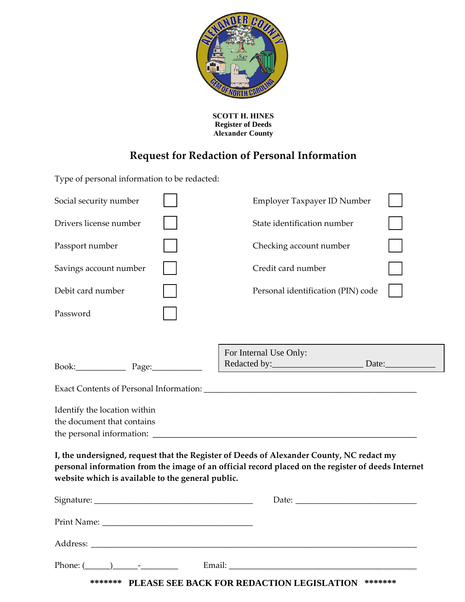

**SCOTT H. HINES Register of Deeds Alexander County** 

## **Request for Redaction of Personal Information**

Type of personal information to be redacted:

| Social security number                                                                                                                                                                                                                              |                        | Employer Taxpayer ID Number        |  |
|-----------------------------------------------------------------------------------------------------------------------------------------------------------------------------------------------------------------------------------------------------|------------------------|------------------------------------|--|
| Drivers license number                                                                                                                                                                                                                              |                        | State identification number        |  |
| Passport number                                                                                                                                                                                                                                     |                        | Checking account number            |  |
| Savings account number                                                                                                                                                                                                                              |                        | Credit card number                 |  |
| Debit card number                                                                                                                                                                                                                                   |                        | Personal identification (PIN) code |  |
| Password                                                                                                                                                                                                                                            |                        |                                    |  |
|                                                                                                                                                                                                                                                     |                        |                                    |  |
|                                                                                                                                                                                                                                                     | For Internal Use Only: |                                    |  |
|                                                                                                                                                                                                                                                     |                        | Redacted by: Date:                 |  |
|                                                                                                                                                                                                                                                     |                        |                                    |  |
| Identify the location within                                                                                                                                                                                                                        |                        |                                    |  |
| the document that contains                                                                                                                                                                                                                          |                        |                                    |  |
|                                                                                                                                                                                                                                                     |                        |                                    |  |
| I, the undersigned, request that the Register of Deeds of Alexander County, NC redact my<br>personal information from the image of an official record placed on the register of deeds Internet<br>website which is available to the general public. |                        |                                    |  |
|                                                                                                                                                                                                                                                     |                        |                                    |  |
|                                                                                                                                                                                                                                                     |                        |                                    |  |
|                                                                                                                                                                                                                                                     |                        |                                    |  |
| Email:                                                                                                                                                                                                                                              |                        |                                    |  |

**\*\*\*\*\*\*\* PLEASE SEE BACK FOR REDACTION LEGISLATION \*\*\*\*\*\*\***